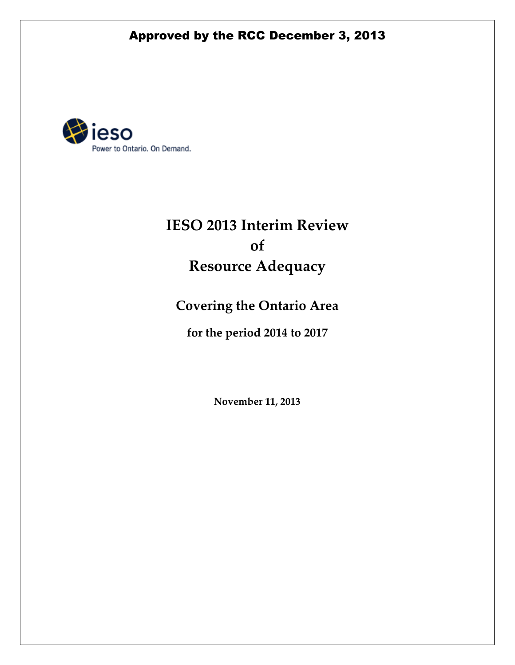# Approved by the RCC December 3, 2013



# **IESO 2013 Interim Review of Resource Adequacy**

# **Covering the Ontario Area**

**for the period 2014 to 2017** 

**November 11, 2013**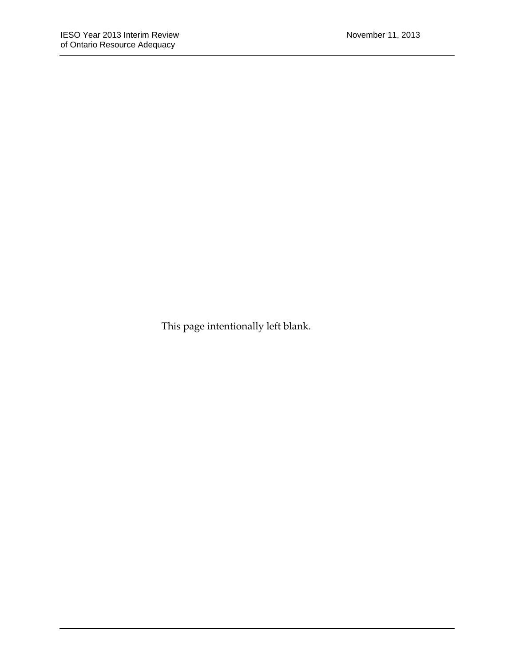This page intentionally left blank.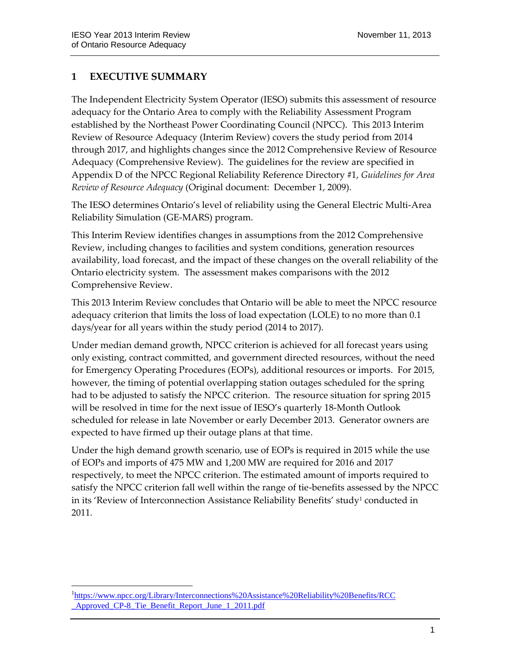#### **1 EXECUTIVE SUMMARY**

The Independent Electricity System Operator (IESO) submits this assessment of resource adequacy for the Ontario Area to comply with the Reliability Assessment Program established by the Northeast Power Coordinating Council (NPCC). This 2013 Interim Review of Resource Adequacy (Interim Review) covers the study period from 2014 through 2017, and highlights changes since the 2012 Comprehensive Review of Resource Adequacy (Comprehensive Review). The guidelines for the review are specified in Appendix D of the NPCC Regional Reliability Reference Directory #1, *Guidelines for Area Review of Resource Adequacy* (Original document: December 1, 2009).

The IESO determines Ontario's level of reliability using the General Electric Multi-Area Reliability Simulation (GE-MARS) program.

This Interim Review identifies changes in assumptions from the 2012 Comprehensive Review, including changes to facilities and system conditions, generation resources availability, load forecast, and the impact of these changes on the overall reliability of the Ontario electricity system. The assessment makes comparisons with the 2012 Comprehensive Review.

This 2013 Interim Review concludes that Ontario will be able to meet the NPCC resource adequacy criterion that limits the loss of load expectation (LOLE) to no more than 0.1 days/year for all years within the study period (2014 to 2017).

Under median demand growth, NPCC criterion is achieved for all forecast years using only existing, contract committed, and government directed resources, without the need for Emergency Operating Procedures (EOPs), additional resources or imports. For 2015, however, the timing of potential overlapping station outages scheduled for the spring had to be adjusted to satisfy the NPCC criterion. The resource situation for spring 2015 will be resolved in time for the next issue of IESO's quarterly 18-Month Outlook scheduled for release in late November or early December 2013. Generator owners are expected to have firmed up their outage plans at that time.

Under the high demand growth scenario, use of EOPs is required in 2015 while the use of EOPs and imports of 475 MW and 1,200 MW are required for 2016 and 2017 respectively, to meet the NPCC criterion. The estimated amount of imports required to satisfy the NPCC criterion fall well within the range of tie-benefits assessed by the NPCC in its 'Review of Interconnection Assistance Reliability Benefits' study<sup>1</sup> conducted in 2011.

<sup>&</sup>lt;u>.</u> <sup>1</sup>[https://www.npcc.org/Library/Interconnections%20Assistance%20Reliability%20Benefits/RCC](https://www.npcc.org/Library/Interconnections%20Assistance%20Reliability%20Benefits/RCC_Approved_CP-8_Tie_Benefit_Report_June_1_2011.pdf) Approved CP-8 Tie Benefit Report June 1 2011.pdf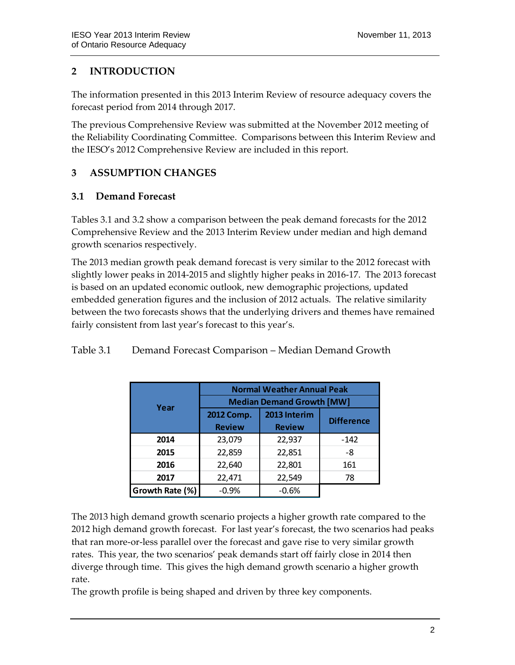#### **2 INTRODUCTION**

The information presented in this 2013 Interim Review of resource adequacy covers the forecast period from 2014 through 2017.

The previous Comprehensive Review was submitted at the November 2012 meeting of the Reliability Coordinating Committee. Comparisons between this Interim Review and the IESO's 2012 Comprehensive Review are included in this report.

# **3 ASSUMPTION CHANGES**

#### **3.1 Demand Forecast**

Tables 3.1 and 3.2 show a comparison between the peak demand forecasts for the 2012 Comprehensive Review and the 2013 Interim Review under median and high demand growth scenarios respectively.

The 2013 median growth peak demand forecast is very similar to the 2012 forecast with slightly lower peaks in 2014-2015 and slightly higher peaks in 2016-17. The 2013 forecast is based on an updated economic outlook, new demographic projections, updated embedded generation figures and the inclusion of 2012 actuals. The relative similarity between the two forecasts shows that the underlying drivers and themes have remained fairly consistent from last year's forecast to this year's.

| Table 3.1 | Demand Forecast Comparison – Median Demand Growth |  |  |
|-----------|---------------------------------------------------|--|--|
|-----------|---------------------------------------------------|--|--|

|                                  |               | <b>Normal Weather Annual Peak</b> |  |  |  |  |
|----------------------------------|---------------|-----------------------------------|--|--|--|--|
| <b>Median Demand Growth [MW]</b> |               |                                   |  |  |  |  |
| 2013 Interim<br>2012 Comp.       |               |                                   |  |  |  |  |
| <b>Review</b>                    | <b>Review</b> | <b>Difference</b>                 |  |  |  |  |
| 23,079                           | 22,937        | $-142$                            |  |  |  |  |
| 22,859                           | 22,851        | -8                                |  |  |  |  |
| 22,640                           | 22,801        | 161                               |  |  |  |  |
| 22,471                           | 22,549        | 78                                |  |  |  |  |
| $-0.9%$                          | $-0.6%$       |                                   |  |  |  |  |
|                                  |               |                                   |  |  |  |  |

The 2013 high demand growth scenario projects a higher growth rate compared to the 2012 high demand growth forecast. For last year's forecast, the two scenarios had peaks that ran more-or-less parallel over the forecast and gave rise to very similar growth rates. This year, the two scenarios' peak demands start off fairly close in 2014 then diverge through time. This gives the high demand growth scenario a higher growth rate.

The growth profile is being shaped and driven by three key components.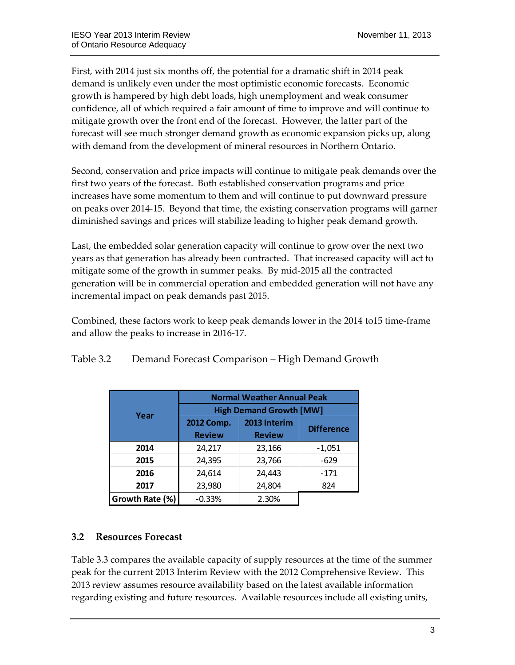First, with 2014 just six months off, the potential for a dramatic shift in 2014 peak demand is unlikely even under the most optimistic economic forecasts. Economic growth is hampered by high debt loads, high unemployment and weak consumer confidence, all of which required a fair amount of time to improve and will continue to mitigate growth over the front end of the forecast. However, the latter part of the forecast will see much stronger demand growth as economic expansion picks up, along with demand from the development of mineral resources in Northern Ontario.

Second, conservation and price impacts will continue to mitigate peak demands over the first two years of the forecast. Both established conservation programs and price increases have some momentum to them and will continue to put downward pressure on peaks over 2014-15. Beyond that time, the existing conservation programs will garner diminished savings and prices will stabilize leading to higher peak demand growth.

Last, the embedded solar generation capacity will continue to grow over the next two years as that generation has already been contracted. That increased capacity will act to mitigate some of the growth in summer peaks. By mid-2015 all the contracted generation will be in commercial operation and embedded generation will not have any incremental impact on peak demands past 2015.

Combined, these factors work to keep peak demands lower in the 2014 to15 time-frame and allow the peaks to increase in 2016-17.

| Table 3.2 | Demand Forecast Comparison - High Demand Growth |
|-----------|-------------------------------------------------|
|           |                                                 |

| <b>Normal Weather Annual Peak</b> |               |                   |  |  |  |
|-----------------------------------|---------------|-------------------|--|--|--|
| <b>High Demand Growth [MW]</b>    |               |                   |  |  |  |
| 2013 Interim<br>2012 Comp.        |               |                   |  |  |  |
| <b>Review</b>                     | <b>Review</b> | <b>Difference</b> |  |  |  |
| 24,217                            | 23,166        | $-1,051$          |  |  |  |
| 24,395                            | 23,766        | $-629$            |  |  |  |
| 24,614                            | 24,443        | $-171$            |  |  |  |
| 23,980                            | 24,804        | 824               |  |  |  |
| $-0.33%$                          | 2.30%         |                   |  |  |  |
|                                   |               |                   |  |  |  |

#### **3.2 Resources Forecast**

Table 3.3 compares the available capacity of supply resources at the time of the summer peak for the current 2013 Interim Review with the 2012 Comprehensive Review. This 2013 review assumes resource availability based on the latest available information regarding existing and future resources. Available resources include all existing units,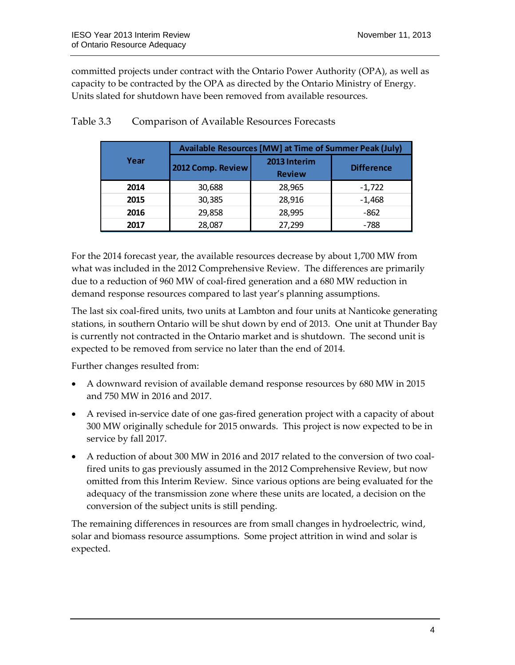committed projects under contract with the Ontario Power Authority (OPA), as well as capacity to be contracted by the OPA as directed by the Ontario Ministry of Energy. Units slated for shutdown have been removed from available resources.

|      | Available Resources [MW] at Time of Summer Peak (July) |                               |                   |  |  |
|------|--------------------------------------------------------|-------------------------------|-------------------|--|--|
| Year | 2012 Comp. Review                                      | 2013 Interim<br><b>Review</b> | <b>Difference</b> |  |  |
| 2014 | 30,688                                                 | 28,965                        | $-1,722$          |  |  |
| 2015 | 30,385                                                 | 28,916                        | $-1,468$          |  |  |
| 2016 | 29,858                                                 | 28,995                        | $-862$            |  |  |
| 2017 | 28,087                                                 | 27,299                        | $-788$            |  |  |

#### Table 3.3 Comparison of Available Resources Forecasts

For the 2014 forecast year, the available resources decrease by about 1,700 MW from what was included in the 2012 Comprehensive Review. The differences are primarily due to a reduction of 960 MW of coal-fired generation and a 680 MW reduction in demand response resources compared to last year's planning assumptions.

The last six coal-fired units, two units at Lambton and four units at Nanticoke generating stations, in southern Ontario will be shut down by end of 2013. One unit at Thunder Bay is currently not contracted in the Ontario market and is shutdown. The second unit is expected to be removed from service no later than the end of 2014.

Further changes resulted from:

- A downward revision of available demand response resources by 680 MW in 2015 and 750 MW in 2016 and 2017.
- A revised in-service date of one gas-fired generation project with a capacity of about 300 MW originally schedule for 2015 onwards. This project is now expected to be in service by fall 2017.
- A reduction of about 300 MW in 2016 and 2017 related to the conversion of two coalfired units to gas previously assumed in the 2012 Comprehensive Review, but now omitted from this Interim Review. Since various options are being evaluated for the adequacy of the transmission zone where these units are located, a decision on the conversion of the subject units is still pending.

The remaining differences in resources are from small changes in hydroelectric, wind, solar and biomass resource assumptions. Some project attrition in wind and solar is expected.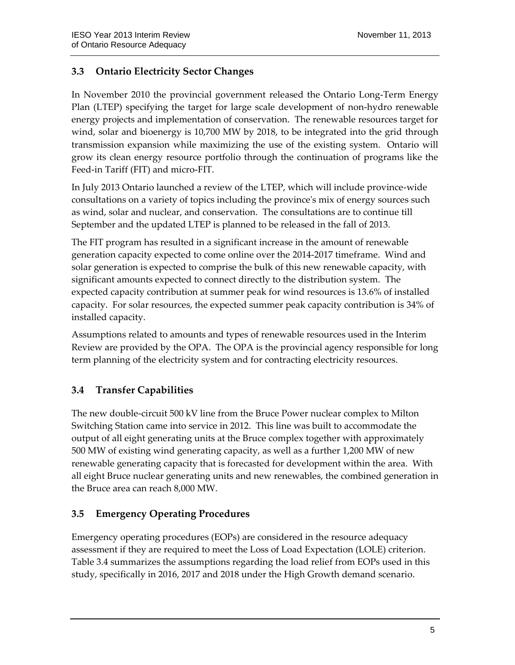# **3.3 Ontario Electricity Sector Changes**

In November 2010 the provincial government released the Ontario Long-Term Energy Plan (LTEP) specifying the target for large scale development of non-hydro renewable energy projects and implementation of conservation. The renewable resources target for wind, solar and bioenergy is 10,700 MW by 2018, to be integrated into the grid through transmission expansion while maximizing the use of the existing system. Ontario will grow its clean energy resource portfolio through the continuation of programs like the Feed-in Tariff (FIT) and micro-FIT.

In July 2013 Ontario launched a review of the LTEP, which will include province-wide consultations on a variety of topics including the province's mix of energy sources such as wind, solar and nuclear, and conservation. The consultations are to continue till September and the updated LTEP is planned to be released in the fall of 2013.

The FIT program has resulted in a significant increase in the amount of renewable generation capacity expected to come online over the 2014-2017 timeframe. Wind and solar generation is expected to comprise the bulk of this new renewable capacity, with significant amounts expected to connect directly to the distribution system. The expected capacity contribution at summer peak for wind resources is 13.6% of installed capacity. For solar resources, the expected summer peak capacity contribution is 34% of installed capacity.

Assumptions related to amounts and types of renewable resources used in the Interim Review are provided by the OPA. The OPA is the provincial agency responsible for long term planning of the electricity system and for contracting electricity resources.

# **3.4 Transfer Capabilities**

The new double-circuit 500 kV line from the Bruce Power nuclear complex to Milton Switching Station came into service in 2012. This line was built to accommodate the output of all eight generating units at the Bruce complex together with approximately 500 MW of existing wind generating capacity, as well as a further 1,200 MW of new renewable generating capacity that is forecasted for development within the area. With all eight Bruce nuclear generating units and new renewables, the combined generation in the Bruce area can reach 8,000 MW.

# **3.5 Emergency Operating Procedures**

Emergency operating procedures (EOPs) are considered in the resource adequacy assessment if they are required to meet the Loss of Load Expectation (LOLE) criterion. Table 3.4 summarizes the assumptions regarding the load relief from EOPs used in this study, specifically in 2016, 2017 and 2018 under the High Growth demand scenario.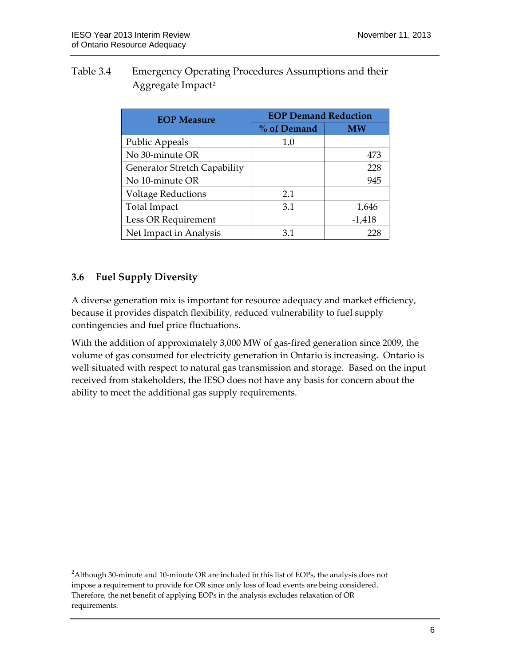#### Table 3.4 Emergency Operating Procedures Assumptions and their Aggregate Impact<sup>2</sup>

| <b>EOP Measure</b>                  | <b>EOP Demand Reduction</b> |          |  |  |
|-------------------------------------|-----------------------------|----------|--|--|
|                                     | % of Demand                 | MW       |  |  |
| <b>Public Appeals</b>               | 1.0                         |          |  |  |
| No 30-minute OR                     |                             | 473      |  |  |
| <b>Generator Stretch Capability</b> |                             | 228      |  |  |
| No 10-minute OR                     |                             | 945      |  |  |
| <b>Voltage Reductions</b>           | 2.1                         |          |  |  |
| <b>Total Impact</b>                 | 3.1                         | 1,646    |  |  |
| Less OR Requirement                 |                             | $-1,418$ |  |  |
| Net Impact in Analysis              | 3.1                         | 228      |  |  |

#### **3.6 Fuel Supply Diversity**

<u>.</u>

A diverse generation mix is important for resource adequacy and market efficiency, because it provides dispatch flexibility, reduced vulnerability to fuel supply contingencies and fuel price fluctuations.

With the addition of approximately 3,000 MW of gas-fired generation since 2009, the volume of gas consumed for electricity generation in Ontario is increasing. Ontario is well situated with respect to natural gas transmission and storage. Based on the input received from stakeholders, the IESO does not have any basis for concern about the ability to meet the additional gas supply requirements.

<sup>&</sup>lt;sup>2</sup>Although 30-minute and 10-minute OR are included in this list of EOPs, the analysis does not impose a requirement to provide for OR since only loss of load events are being considered. Therefore, the net benefit of applying EOPs in the analysis excludes relaxation of OR requirements.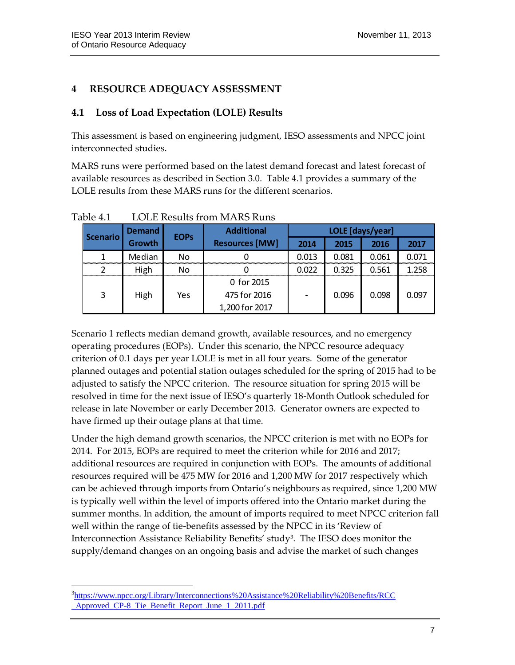#### **4 RESOURCE ADEQUACY ASSESSMENT**

#### **4.1 Loss of Load Expectation (LOLE) Results**

This assessment is based on engineering judgment, IESO assessments and NPCC joint interconnected studies.

MARS runs were performed based on the latest demand forecast and latest forecast of available resources as described in Section 3.0. Table 4.1 provides a summary of the LOLE results from these MARS runs for the different scenarios.

| able 4.1<br>LOLE Results from MARS Runs |                                                 |     |                       |                  |       |       |       |
|-----------------------------------------|-------------------------------------------------|-----|-----------------------|------------------|-------|-------|-------|
|                                         | <b>Demand</b>                                   |     | <b>Additional</b>     | LOLE [days/year] |       |       |       |
|                                         | <b>Scenario</b><br><b>EOPS</b><br><b>Growth</b> |     | <b>Resources [MW]</b> | 2014             | 2015  | 2016  | 2017  |
|                                         | Median                                          | No  |                       | 0.013            | 0.081 | 0.061 | 0.071 |
|                                         | High                                            | No  |                       | 0.022            | 0.325 | 0.561 | 1.258 |
|                                         |                                                 |     | 0 for 2015            |                  |       |       |       |
| 3                                       | High                                            | Yes | 475 for 2016          |                  | 0.096 | 0.098 | 0.097 |
|                                         |                                                 |     | 1,200 for 2017        |                  |       |       |       |

Table 4.1 LOLE Results from MARS Runs

Scenario 1 reflects median demand growth, available resources, and no emergency operating procedures (EOPs). Under this scenario, the NPCC resource adequacy criterion of 0.1 days per year LOLE is met in all four years. Some of the generator planned outages and potential station outages scheduled for the spring of 2015 had to be adjusted to satisfy the NPCC criterion. The resource situation for spring 2015 will be resolved in time for the next issue of IESO's quarterly 18-Month Outlook scheduled for release in late November or early December 2013. Generator owners are expected to have firmed up their outage plans at that time.

Under the high demand growth scenarios, the NPCC criterion is met with no EOPs for 2014. For 2015, EOPs are required to meet the criterion while for 2016 and 2017; additional resources are required in conjunction with EOPs. The amounts of additional resources required will be 475 MW for 2016 and 1,200 MW for 2017 respectively which can be achieved through imports from Ontario's neighbours as required, since 1,200 MW is typically well within the level of imports offered into the Ontario market during the summer months. In addition, the amount of imports required to meet NPCC criterion fall well within the range of tie-benefits assessed by the NPCC in its 'Review of Interconnection Assistance Reliability Benefits' study<sup>3</sup>. The IESO does monitor the supply/demand changes on an ongoing basis and advise the market of such changes

<u>.</u>

<sup>&</sup>lt;sup>3</sup>[https://www.npcc.org/Library/Interconnections%20Assistance%20Reliability%20Benefits/RCC](https://www.npcc.org/Library/Interconnections%20Assistance%20Reliability%20Benefits/RCC_Approved_CP-8_Tie_Benefit_Report_June_1_2011.pdf) Approved CP-8 Tie Benefit Report June 1 2011.pdf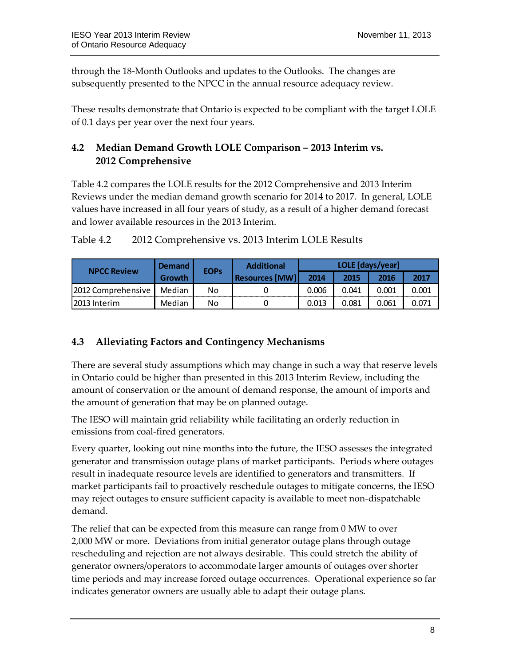through the 18-Month Outlooks and updates to the Outlooks. The changes are subsequently presented to the NPCC in the annual resource adequacy review.

These results demonstrate that Ontario is expected to be compliant with the target LOLE of 0.1 days per year over the next four years.

# **4.2 Median Demand Growth LOLE Comparison – 2013 Interim vs. 2012 Comprehensive**

Table 4.2 compares the LOLE results for the 2012 Comprehensive and 2013 Interim Reviews under the median demand growth scenario for 2014 to 2017. In general, LOLE values have increased in all four years of study, as a result of a higher demand forecast and lower available resources in the 2013 Interim.

| Table 4.2<br>2012 Comprehensive vs. 2013 Interim LOLE Results |               |                       |                   |       |       |                  |       |
|---------------------------------------------------------------|---------------|-----------------------|-------------------|-------|-------|------------------|-------|
| <b>NPCC Review</b>                                            | <b>Demand</b> | <b>EOPS</b>           | <b>Additional</b> |       |       | LOLE [days/year] |       |
|                                                               | <b>Growth</b> | <b>Resources [MW]</b> | 2014              | 2015  | 2016  | 2017             |       |
| 2012 Comprehensive                                            | <b>Median</b> | No                    |                   | 0.006 | 0.041 | 0.001            | 0.001 |
| l 2013 Interim                                                | Median        | No                    |                   | 0.013 | 0.081 | 0.061            | 0.071 |
|                                                               |               |                       |                   |       |       |                  |       |

Table 4.2 2012 Comprehensive vs. 2013 Interim LOLE Results

# **4.3 Alleviating Factors and Contingency Mechanisms**

There are several study assumptions which may change in such a way that reserve levels in Ontario could be higher than presented in this 2013 Interim Review, including the amount of conservation or the amount of demand response, the amount of imports and the amount of generation that may be on planned outage.

The IESO will maintain grid reliability while facilitating an orderly reduction in emissions from coal-fired generators.

Every quarter, looking out nine months into the future, the IESO assesses the integrated generator and transmission outage plans of market participants. Periods where outages result in inadequate resource levels are identified to generators and transmitters. If market participants fail to proactively reschedule outages to mitigate concerns, the IESO may reject outages to ensure sufficient capacity is available to meet non-dispatchable demand.

The relief that can be expected from this measure can range from 0 MW to over 2,000 MW or more. Deviations from initial generator outage plans through outage rescheduling and rejection are not always desirable. This could stretch the ability of generator owners/operators to accommodate larger amounts of outages over shorter time periods and may increase forced outage occurrences. Operational experience so far indicates generator owners are usually able to adapt their outage plans.